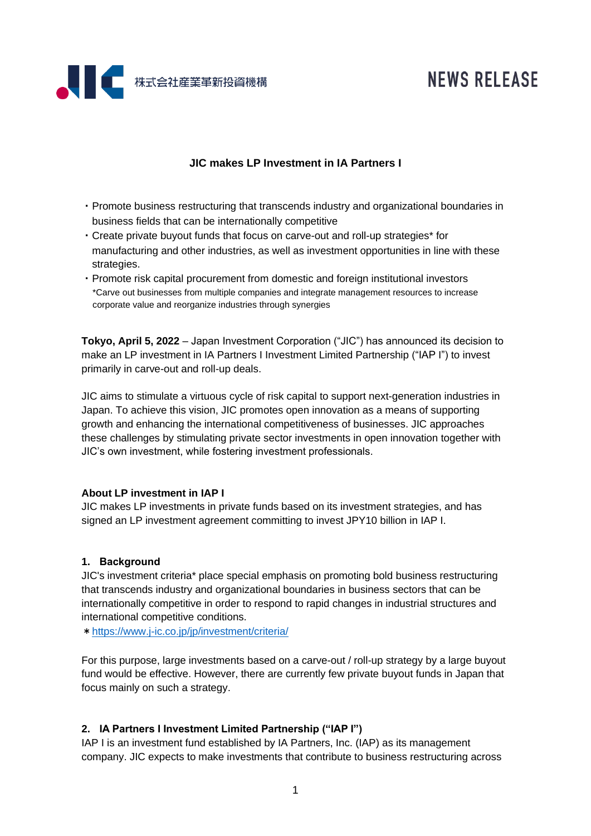

# **NEWS RELEASE**

# **JIC makes LP Investment in IA Partners I**

- ・Promote business restructuring that transcends industry and organizational boundaries in business fields that can be internationally competitive
- ・Create private buyout funds that focus on carve-out and roll-up strategies\* for manufacturing and other industries, as well as investment opportunities in line with these strategies.
- ・Promote risk capital procurement from domestic and foreign institutional investors \*Carve out businesses from multiple companies and integrate management resources to increase corporate value and reorganize industries through synergies

**Tokyo, April 5, 2022** – Japan Investment Corporation ("JIC") has announced its decision to make an LP investment in IA Partners I Investment Limited Partnership ("IAP I") to invest primarily in carve-out and roll-up deals.

JIC aims to stimulate a virtuous cycle of risk capital to support next-generation industries in Japan. To achieve this vision, JIC promotes open innovation as a means of supporting growth and enhancing the international competitiveness of businesses. JIC approaches these challenges by stimulating private sector investments in open innovation together with JIC's own investment, while fostering investment professionals.

## **About LP investment in IAP I**

JIC makes LP investments in private funds based on its investment strategies, and has signed an LP investment agreement committing to invest JPY10 billion in IAP I.

# **1. Background**

JIC's investment criteria\* place special emphasis on promoting bold business restructuring that transcends industry and organizational boundaries in business sectors that can be internationally competitive in order to respond to rapid changes in industrial structures and international competitive conditions.

\*<https://www.j-ic.co.jp/jp/investment/criteria/>

For this purpose, large investments based on a carve-out / roll-up strategy by a large buyout fund would be effective. However, there are currently few private buyout funds in Japan that focus mainly on such a strategy.

# **2. IA Partners I Investment Limited Partnership ("IAP I")**

IAP I is an investment fund established by IA Partners, Inc. (IAP) as its management company. JIC expects to make investments that contribute to business restructuring across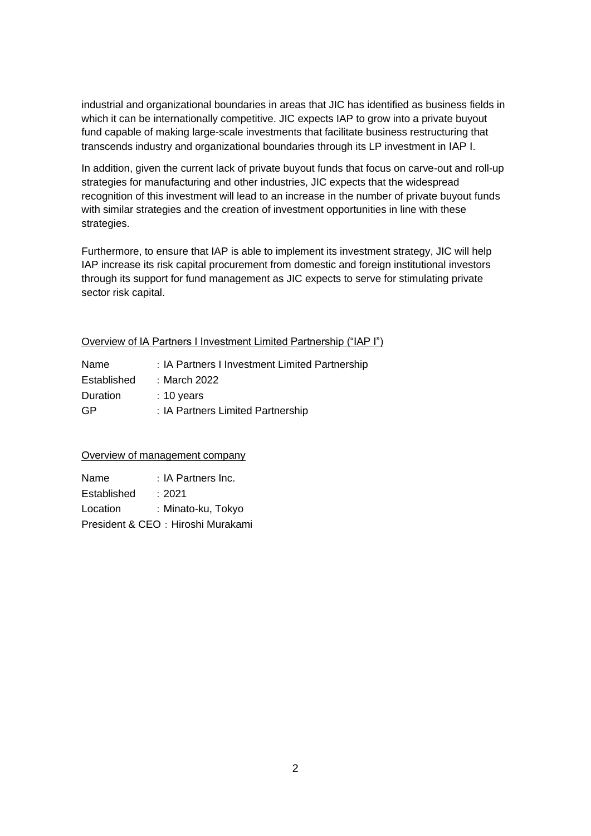industrial and organizational boundaries in areas that JIC has identified as business fields in which it can be internationally competitive. JIC expects IAP to grow into a private buyout fund capable of making large-scale investments that facilitate business restructuring that transcends industry and organizational boundaries through its LP investment in IAP I.

In addition, given the current lack of private buyout funds that focus on carve-out and roll-up strategies for manufacturing and other industries, JIC expects that the widespread recognition of this investment will lead to an increase in the number of private buyout funds with similar strategies and the creation of investment opportunities in line with these strategies.

Furthermore, to ensure that IAP is able to implement its investment strategy, JIC will help IAP increase its risk capital procurement from domestic and foreign institutional investors through its support for fund management as JIC expects to serve for stimulating private sector risk capital.

# Overview of IA Partners I Investment Limited Partnership ("IAP I")

| Name        | : IA Partners I Investment Limited Partnership |
|-------------|------------------------------------------------|
| Established | :March 2022:                                   |
| Duration    | $: 10$ years                                   |
| GP          | : IA Partners Limited Partnership              |

## Overview of management company

| Name        | : IA Partners Inc.                |
|-------------|-----------------------------------|
| Established | : 2021                            |
| Location    | : Minato-ku, Tokyo                |
|             | President & CEO: Hiroshi Murakami |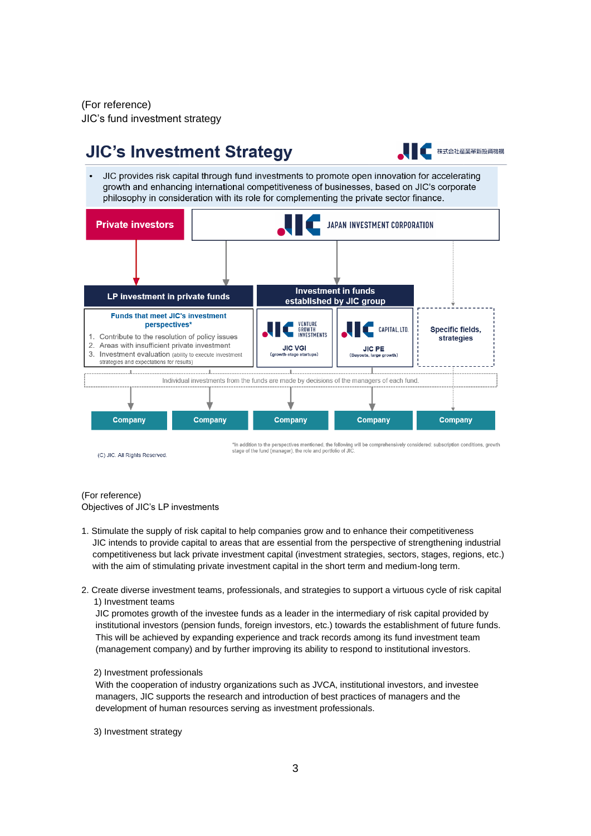(For reference) JIC's fund investment strategy

#### **JIC's Investment Strategy** 株式会社産業革新投資機構 JIC provides risk capital through fund investments to promote open innovation for accelerating growth and enhancing international competitiveness of businesses, based on JIC's corporate philosophy in consideration with its role for complementing the private sector finance. **Private investors JAPAN INVESTMENT CORPORATION Investment in funds** LP investment in private funds established by JIC group **Funds that meet JIC's investment** VENTURE<br>GROWTH<br>INVESTMENTS **perspectives** CAPITAL, LTD. Specific fields, 1. Contribute to the resolution of policy issues strategies  $\mathcal{D}$ Areas with insufficient private investment **JIC VGI JIC PE** 3. Investment evaluation (ability to execute investment uts. large gro strategies and expectations for results)  $\mathbb{R}^n$ Individual investments from the funds are made by decisions of the managers of each fund. Company Company Company Company Company In addition to the perspectives mentioned, the following will be comprehensively considered; subscription conditions, growth stage of the fund (manager), the role and portfolio of JIC (C) JIC. All Rights Reserved

### (For reference)

Objectives of JIC's LP investments

- 1. Stimulate the supply of risk capital to help companies grow and to enhance their competitiveness JIC intends to provide capital to areas that are essential from the perspective of strengthening industrial competitiveness but lack private investment capital (investment strategies, sectors, stages, regions, etc.) with the aim of stimulating private investment capital in the short term and medium-long term.
- 2. Create diverse investment teams, professionals, and strategies to support a virtuous cycle of risk capital 1) Investment teams

JIC promotes growth of the investee funds as a leader in the intermediary of risk capital provided by institutional investors (pension funds, foreign investors, etc.) towards the establishment of future funds. This will be achieved by expanding experience and track records among its fund investment team (management company) and by further improving its ability to respond to institutional investors.

#### 2) Investment professionals

With the cooperation of industry organizations such as JVCA, institutional investors, and investee managers, JIC supports the research and introduction of best practices of managers and the development of human resources serving as investment professionals.

3) Investment strategy